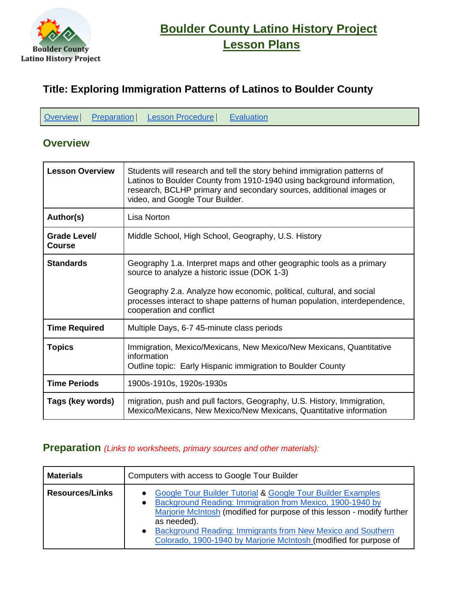

# **[Boulder County Latino History Project](http://teachbocolatinohistory.colorado.edu/)  [Lesson Plans](http://teachbocolatinohistory.colorado.edu/)**

# **Title: Exploring Immigration Patterns of Latinos to Boulder County**

|  | Overview   Preparation   Lesson Procedure   Evaluation |  |
|--|--------------------------------------------------------|--|
|  |                                                        |  |

# <span id="page-0-0"></span>**Overview**

| <b>Lesson Overview</b>               | Students will research and tell the story behind immigration patterns of<br>Latinos to Boulder County from 1910-1940 using background information,<br>research, BCLHP primary and secondary sources, additional images or<br>video, and Google Tour Builder.                                            |  |  |  |
|--------------------------------------|---------------------------------------------------------------------------------------------------------------------------------------------------------------------------------------------------------------------------------------------------------------------------------------------------------|--|--|--|
| Author(s)                            | Lisa Norton                                                                                                                                                                                                                                                                                             |  |  |  |
| <b>Grade Level/</b><br><b>Course</b> | Middle School, High School, Geography, U.S. History                                                                                                                                                                                                                                                     |  |  |  |
| <b>Standards</b>                     | Geography 1.a. Interpret maps and other geographic tools as a primary<br>source to analyze a historic issue (DOK 1-3)<br>Geography 2.a. Analyze how economic, political, cultural, and social<br>processes interact to shape patterns of human population, interdependence,<br>cooperation and conflict |  |  |  |
| <b>Time Required</b>                 | Multiple Days, 6-7 45-minute class periods                                                                                                                                                                                                                                                              |  |  |  |
| <b>Topics</b>                        | Immigration, Mexico/Mexicans, New Mexico/New Mexicans, Quantitative<br>information<br>Outline topic: Early Hispanic immigration to Boulder County                                                                                                                                                       |  |  |  |
| <b>Time Periods</b>                  | 1900s-1910s, 1920s-1930s                                                                                                                                                                                                                                                                                |  |  |  |
| Tags (key words)                     | migration, push and pull factors, Geography, U.S. History, Immigration,<br>Mexico/Mexicans, New Mexico/New Mexicans, Quantitative information                                                                                                                                                           |  |  |  |

#### <span id="page-0-1"></span>**Preparation** *(Links to worksheets, primary sources and other materials):*

| <b>Materials</b>       | Computers with access to Google Tour Builder                                                                                                                                                                                                                                                                                                                                                |  |  |  |  |
|------------------------|---------------------------------------------------------------------------------------------------------------------------------------------------------------------------------------------------------------------------------------------------------------------------------------------------------------------------------------------------------------------------------------------|--|--|--|--|
| <b>Resources/Links</b> | <b>Google Tour Builder Tutorial &amp; Google Tour Builder Examples</b><br>Background Reading: Immigration from Mexico, 1900-1940 by<br>$\bullet$<br>Marjorie McIntosh (modified for purpose of this lesson - modify further<br>as needed).<br>Background Reading: Immigrants from New Mexico and Southern<br>$\bullet$<br>Colorado, 1900-1940 by Marjorie McIntosh (modified for purpose of |  |  |  |  |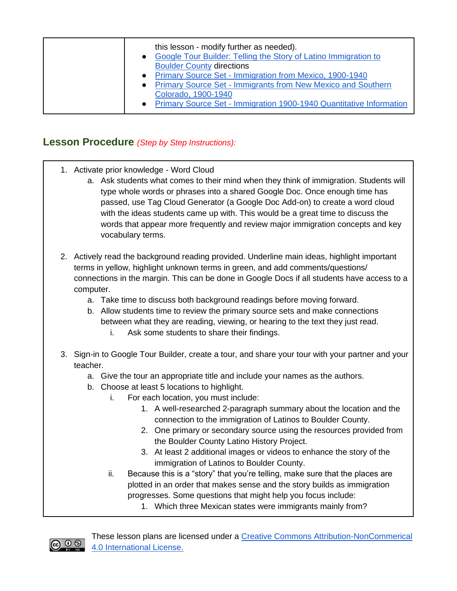| this lesson - modify further as needed).<br>Google Tour Builder: Telling the Story of Latino Immigration to<br><b>Boulder County directions</b><br>• Primary Source Set - Immigration from Mexico, 1900-1940<br>• Primary Source Set - Immigrants from New Mexico and Southern<br>Colorado, 1900-1940<br>• Primary Source Set - Immigration 1900-1940 Quantitative Information |
|--------------------------------------------------------------------------------------------------------------------------------------------------------------------------------------------------------------------------------------------------------------------------------------------------------------------------------------------------------------------------------|
|--------------------------------------------------------------------------------------------------------------------------------------------------------------------------------------------------------------------------------------------------------------------------------------------------------------------------------------------------------------------------------|

## <span id="page-1-0"></span>**Lesson Procedure** *(Step by Step Instructions):*

- 1. Activate prior knowledge Word Cloud
	- a. Ask students what comes to their mind when they think of immigration. Students will type whole words or phrases into a shared Google Doc. Once enough time has passed, use Tag Cloud Generator (a Google Doc Add-on) to create a word cloud with the ideas students came up with. This would be a great time to discuss the words that appear more frequently and review major immigration concepts and key vocabulary terms.
- 2. Actively read the background reading provided. Underline main ideas, highlight important terms in yellow, highlight unknown terms in green, and add comments/questions/ connections in the margin. This can be done in Google Docs if all students have access to a computer.
	- a. Take time to discuss both background readings before moving forward.
	- b. Allow students time to review the primary source sets and make connections between what they are reading, viewing, or hearing to the text they just read.
		- i. Ask some students to share their findings.
- 3. Sign-in to Google Tour Builder, create a tour, and share your tour with your partner and your teacher.
	- a. Give the tour an appropriate title and include your names as the authors.
	- b. Choose at least 5 locations to highlight.
		- i. For each location, you must include:
			- 1. A well-researched 2-paragraph summary about the location and the connection to the immigration of Latinos to Boulder County.
			- 2. One primary or secondary source using the resources provided from the Boulder County Latino History Project.
			- 3. At least 2 additional images or videos to enhance the story of the immigration of Latinos to Boulder County.
		- ii. Because this is a "story" that you're telling, make sure that the places are plotted in an order that makes sense and the story builds as immigration progresses. Some questions that might help you focus include:
			- 1. Which three Mexican states were immigrants mainly from?



These lesson plans are licensed under a Creative Commons Attribution-NonCommerical [4.0 International License.](http://creativecommons.org/licenses/by-nc/4.0/)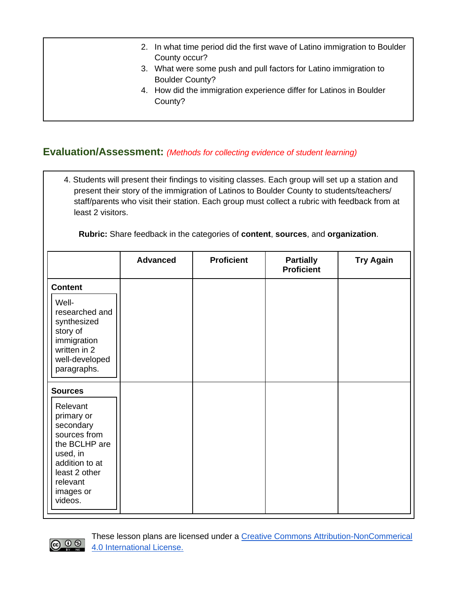- 2. In what time period did the first wave of Latino immigration to Boulder County occur?
- 3. What were some push and pull factors for Latino immigration to Boulder County?
- 4. How did the immigration experience differ for Latinos in Boulder County?

# <span id="page-2-0"></span>**Evaluation/Assessment:** *(Methods for collecting evidence of student learning)*

4. Students will present their findings to visiting classes. Each group will set up a station and present their story of the immigration of Latinos to Boulder County to students/teachers/ staff/parents who visit their station. Each group must collect a rubric with feedback from at least 2 visitors.

**Rubric:** Share feedback in the categories of **content**, **sources**, and **organization**.

|                                                                                                                                                                           | <b>Advanced</b> | <b>Proficient</b> | <b>Partially</b><br><b>Proficient</b> | <b>Try Again</b> |
|---------------------------------------------------------------------------------------------------------------------------------------------------------------------------|-----------------|-------------------|---------------------------------------|------------------|
| <b>Content</b><br>Well-<br>researched and<br>synthesized<br>story of<br>immigration<br>written in 2<br>well-developed<br>paragraphs.                                      |                 |                   |                                       |                  |
| <b>Sources</b><br>Relevant<br>primary or<br>secondary<br>sources from<br>the BCLHP are<br>used, in<br>addition to at<br>least 2 other<br>relevant<br>images or<br>videos. |                 |                   |                                       |                  |



These lesson plans are licensed under a [Creative Commons Attribution-NonCommerical](http://creativecommons.org/licenses/by-nc/4.0/)  [4.0 International License.](http://creativecommons.org/licenses/by-nc/4.0/)